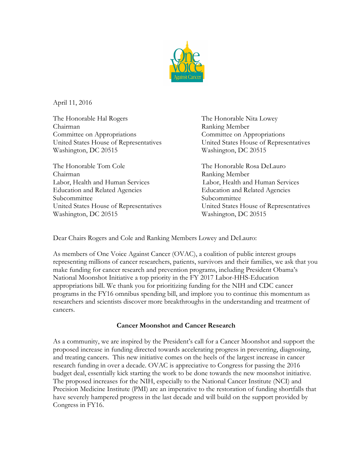

April 11, 2016

The Honorable Hal Rogers The Honorable Nita Lowey Chairman Ranking Member Committee on Appropriations Committee on Appropriations Washington, DC 20515 Washington, DC 20515

The Honorable Tom Cole The Honorable Rosa DeLauro Chairman Ranking Member Labor, Health and Human Services Labor, Health and Human Services Education and Related Agencies Education and Related Agencies Subcommittee Subcommittee Washington, DC 20515 Washington, DC 20515

United States House of Representatives United States House of Representatives

United States House of Representatives United States House of Representatives

Dear Chairs Rogers and Cole and Ranking Members Lowey and DeLauro:

As members of One Voice Against Cancer (OVAC), a coalition of public interest groups representing millions of cancer researchers, patients, survivors and their families, we ask that you make funding for cancer research and prevention programs, including President Obama's National Moonshot Initiative a top priority in the FY 2017 Labor-HHS-Education appropriations bill. We thank you for prioritizing funding for the NIH and CDC cancer programs in the FY16 omnibus spending bill, and implore you to continue this momentum as researchers and scientists discover more breakthroughs in the understanding and treatment of cancers.

## **Cancer Moonshot and Cancer Research**

As a community, we are inspired by the President's call for a Cancer Moonshot and support the proposed increase in funding directed towards accelerating progress in preventing, diagnosing, and treating cancers. This new initiative comes on the heels of the largest increase in cancer research funding in over a decade. OVAC is appreciative to Congress for passing the 2016 budget deal, essentially kick starting the work to be done towards the new moonshot initiative. The proposed increases for the NIH, especially to the National Cancer Institute (NCI) and Precision Medicine Institute (PMI) are an imperative to the restoration of funding shortfalls that have severely hampered progress in the last decade and will build on the support provided by Congress in FY16.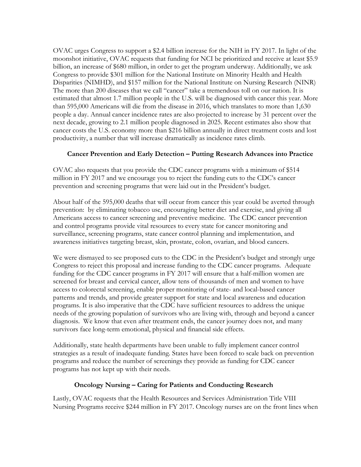OVAC urges Congress to support a \$2.4 billion increase for the NIH in FY 2017. In light of the moonshot initiative, OVAC requests that funding for NCI be prioritized and receive at least \$5.9 billion, an increase of \$680 million, in order to get the program underway. Additionally, we ask Congress to provide \$301 million for the National Institute on Minority Health and Health Disparities (NIMHD), and \$157 million for the National Institute on Nursing Research (NINR) The more than 200 diseases that we call "cancer" take a tremendous toll on our nation. It is estimated that almost 1.7 million people in the U.S. will be diagnosed with cancer this year. More than 595,000 Americans will die from the disease in 2016, which translates to more than 1,630 people a day. Annual cancer incidence rates are also projected to increase by 31 percent over the next decade, growing to 2.1 million people diagnosed in 2025. Recent estimates also show that cancer costs the U.S. economy more than \$216 billion annually in direct treatment costs and lost productivity, a number that will increase dramatically as incidence rates climb.

## **Cancer Prevention and Early Detection – Putting Research Advances into Practice**

OVAC also requests that you provide the CDC cancer programs with a minimum of \$514 million in FY 2017 and we encourage you to reject the funding cuts to the CDC's cancer prevention and screening programs that were laid out in the President's budget.

About half of the 595,000 deaths that will occur from cancer this year could be averted through prevention: by eliminating tobacco use, encouraging better diet and exercise, and giving all Americans access to cancer screening and preventive medicine. The CDC cancer prevention and control programs provide vital resources to every state for cancer monitoring and surveillance, screening programs, state cancer control planning and implementation, and awareness initiatives targeting breast, skin, prostate, colon, ovarian, and blood cancers.

We were dismayed to see proposed cuts to the CDC in the President's budget and strongly urge Congress to reject this proposal and increase funding to the CDC cancer programs. Adequate funding for the CDC cancer programs in FY 2017 will ensure that a half-million women are screened for breast and cervical cancer, allow tens of thousands of men and women to have access to colorectal screening, enable proper monitoring of state- and local-based cancer patterns and trends, and provide greater support for state and local awareness and education programs. It is also imperative that the CDC have sufficient resources to address the unique needs of the growing population of survivors who are living with, through and beyond a cancer diagnosis. We know that even after treatment ends, the cancer journey does not, and many survivors face long-term emotional, physical and financial side effects.

Additionally, state health departments have been unable to fully implement cancer control strategies as a result of inadequate funding. States have been forced to scale back on prevention programs and reduce the number of screenings they provide as funding for CDC cancer programs has not kept up with their needs.

## **Oncology Nursing – Caring for Patients and Conducting Research**

Lastly, OVAC requests that the Health Resources and Services Administration Title VIII Nursing Programs receive \$244 million in FY 2017. Oncology nurses are on the front lines when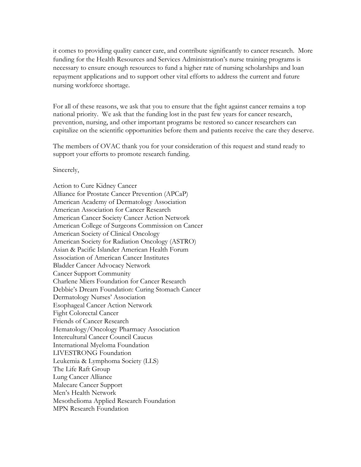it comes to providing quality cancer care, and contribute significantly to cancer research. More funding for the Health Resources and Services Administration's nurse training programs is necessary to ensure enough resources to fund a higher rate of nursing scholarships and loan repayment applications and to support other vital efforts to address the current and future nursing workforce shortage.

For all of these reasons, we ask that you to ensure that the fight against cancer remains a top national priority. We ask that the funding lost in the past few years for cancer research, prevention, nursing, and other important programs be restored so cancer researchers can capitalize on the scientific opportunities before them and patients receive the care they deserve.

The members of OVAC thank you for your consideration of this request and stand ready to support your efforts to promote research funding.

Sincerely,

Action to Cure Kidney Cancer Alliance for Prostate Cancer Prevention (APCaP) American Academy of Dermatology Association American Association for Cancer Research American Cancer Society Cancer Action Network American College of Surgeons Commission on Cancer American Society of Clinical Oncology American Society for Radiation Oncology (ASTRO) Asian & Pacific Islander American Health Forum Association of American Cancer Institutes Bladder Cancer Advocacy Network Cancer Support Community Charlene Miers Foundation for Cancer Research Debbie's Dream Foundation: Curing Stomach Cancer Dermatology Nurses' Association Esophageal Cancer Action Network Fight Colorectal Cancer Friends of Cancer Research Hematology/Oncology Pharmacy Association Intercultural Cancer Council Caucus International Myeloma Foundation LIVESTRONG Foundation Leukemia & Lymphoma Society (LLS) The Life Raft Group Lung Cancer Alliance Malecare Cancer Support Men's Health Network Mesothelioma Applied Research Foundation MPN Research Foundation